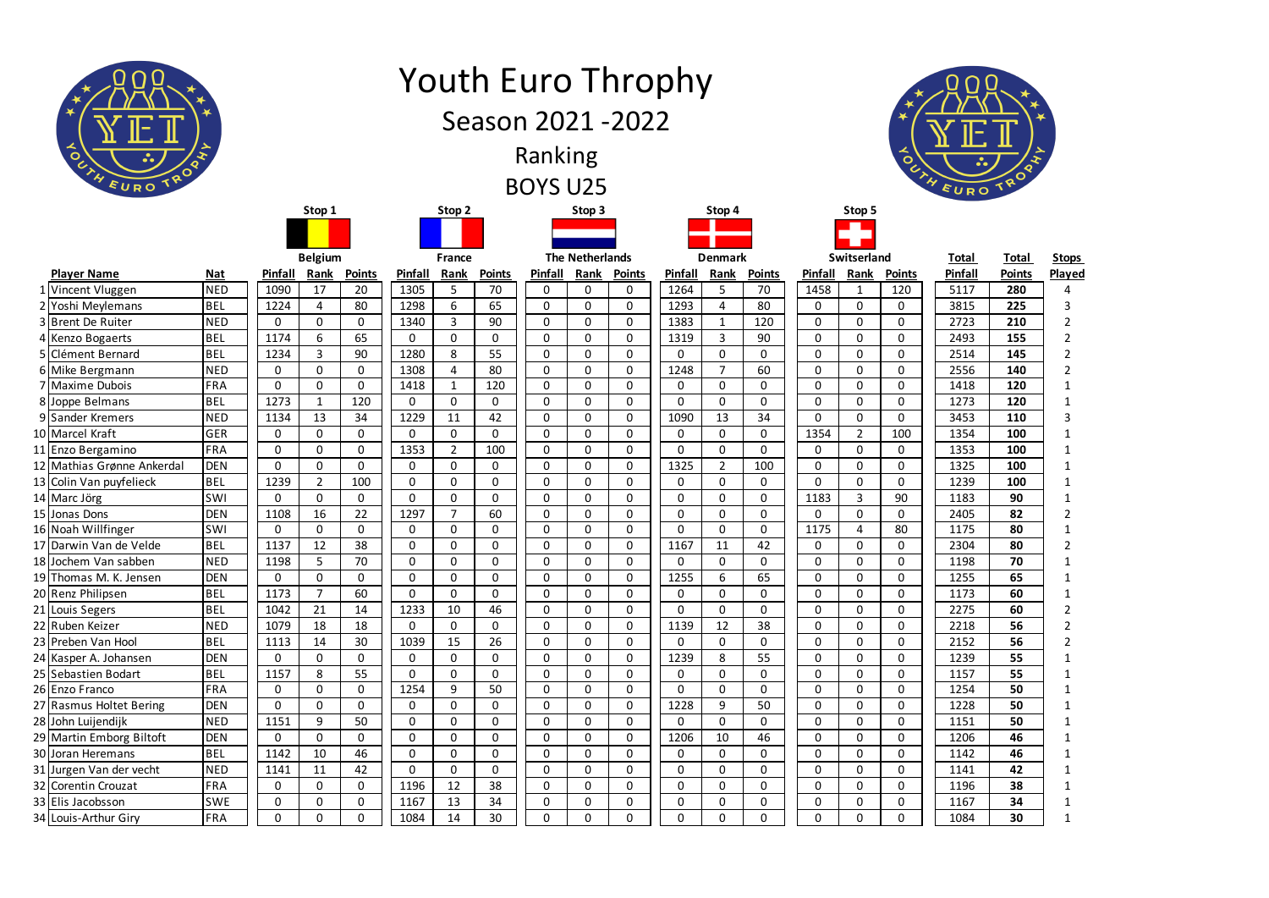|  | ᅩ<br>$\circ$<br>EURO TRO <sup>Q</sup>        |                          |                     |                             |                    |                      |                   | <b>Youth Euro Throphy</b><br>Season 2021 - 2022 | Ranking<br><b>BOYS U25</b>  |                            |                            |                   |                |                    |                   |                | $\bullet$         | $\ddotsc$    |               |                |
|--|----------------------------------------------|--------------------------|---------------------|-----------------------------|--------------------|----------------------|-------------------|-------------------------------------------------|-----------------------------|----------------------------|----------------------------|-------------------|----------------|--------------------|-------------------|----------------|-------------------|--------------|---------------|----------------|
|  |                                              |                          |                     | Stop 1                      |                    |                      | Stop 2            |                                                 |                             | Stop 3                     |                            |                   | Stop 4         |                    |                   | Stop 5         |                   |              |               |                |
|  |                                              |                          |                     |                             |                    |                      |                   |                                                 |                             |                            |                            |                   |                |                    |                   |                |                   |              |               |                |
|  |                                              |                          |                     | <b>Belgium</b>              |                    |                      | France            |                                                 |                             | <b>The Netherlands</b>     |                            |                   | <b>Denmark</b> |                    |                   | Switserland    |                   | <b>Total</b> | <b>Total</b>  | <b>Stops</b>   |
|  | <b>Player Name</b>                           | <b>Nat</b>               | Pinfall             | Rank                        | <b>Points</b>      | <b>Pinfall</b>       | Rank              | <b>Points</b>                                   | Pinfall                     | Rank                       | <b>Points</b>              | Pinfall           | Rank           | <b>Points</b>      | Pinfall           | Rank           | <b>Points</b>     | Pinfall      | <b>Points</b> | Played         |
|  | 1 Vincent Vluggen                            | <b>NED</b>               | 1090                | 17                          | 20                 | 1305                 | 5                 | 70                                              | 0                           | 0                          | 0                          | 1264              | 5              | 70                 | 1458              | -1             | 120               | 5117         | 280           |                |
|  | 2 Yoshi Meylemans                            | <b>BEL</b>               | 1224                | 4                           | 80                 | 1298                 | 6                 | 65                                              | $\mathbf 0$                 | $\mathbf 0$                | $\mathbf 0$                | 1293              | 4              | 80                 | $\mathbf{0}$      | 0              | 0                 | 3815         | 225           | 3              |
|  | 3 Brent De Ruiter                            | <b>NED</b>               | 0                   | $\mathbf 0$                 | $\mathbf 0$        | 1340                 | 3                 | 90                                              | $\mathbf 0$                 | $\mathbf 0$                | $\mathbf 0$                | 1383              | $\mathbf{1}$   | 120                | 0                 | 0              | 0                 | 2723         | 210           | $\overline{2}$ |
|  | 4 Kenzo Bogaerts                             | <b>BEL</b>               | 1174                | 6                           | 65                 | $\mathbf{0}$         | $\mathbf{0}$      | 0                                               | $\mathbf 0$                 | $\mathbf 0$                | $\mathbf 0$                | 1319              | 3              | 90                 | 0                 | 0              | 0                 | 2493         | 155           | $\overline{2}$ |
|  | 5 Clément Bernard                            | <b>BEL</b>               | 1234                | 3                           | 90                 | 1280                 | 8                 | 55                                              | $\mathbf 0$                 | 0                          | $\mathbf 0$                | 0                 | 0              | $\mathbf{0}$       | $\Omega$          | 0              | $\mathbf{0}$      | 2514         | 145           |                |
|  | 6 Mike Bergmann                              | <b>NED</b>               | $\mathbf 0$         | $\mathbf 0$                 | $\mathbf 0$        | 1308                 | 4                 | 80                                              | $\mathbf 0$                 | $\mathbf 0$                | $\mathbf 0$                | 1248              | $\overline{7}$ | 60                 | $\mathbf{0}$      | 0              | 0                 | 2556         | 140           | $\overline{2}$ |
|  | 7 Maxime Dubois<br>8 Joppe Belmans           | FRA<br><b>BEL</b>        | 0<br>1273           | $\mathbf 0$<br>$\mathbf{1}$ | $\mathbf 0$<br>120 | 1418<br>$\mathbf{0}$ | 1<br>$\mathbf{0}$ | 120<br>0                                        | $\mathbf 0$<br>$\mathbf 0$  | $\mathbf 0$<br>$\mathbf 0$ | $\mathbf 0$<br>$\mathbf 0$ | 0<br>$\mathbf{0}$ | 0<br>0         | 0<br>$\mathbf{0}$  | 0<br>$\mathbf{0}$ | $\Omega$<br>0  | $\mathbf{0}$<br>0 | 1418<br>1273 | 120<br>120    |                |
|  | 9 Sander Kremers                             | <b>NED</b>               | 1134                | 13                          | 34                 | 1229                 | 11                | 42                                              | $\mathbf 0$                 | $\mathbf{0}$               | $\mathbf 0$                | 1090              | 13             | 34                 | $\mathbf{0}$      | 0              | $\mathbf{0}$      | 3453         | 110           |                |
|  | 10 Marcel Kraft                              | GER                      | $\mathbf 0$         | $\mathbf 0$                 | $\mathbf 0$        | $\mathbf{0}$         | $\mathbf{0}$      | 0                                               | $\mathbf 0$                 | 0                          | $\mathbf 0$                | $\mathbf 0$       | $\mathbf 0$    | $\mathbf 0$        | 1354              | $\overline{2}$ | 100               | 1354         | 100           |                |
|  | 11 Enzo Bergamino                            | FRA                      | $\mathbf 0$         | $\mathbf 0$                 | $\mathbf 0$        | 1353                 | $\overline{2}$    | 100                                             | $\mathbf 0$                 | $\mathbf 0$                | $\mathbf 0$                | 0                 | 0              | $\mathbf{0}$       | 0                 | $\mathbf 0$    | 0                 | 1353         | 100           |                |
|  | 12 Mathias Grønne Ankerdal                   | <b>DEN</b>               | $\mathbf 0$         | $\mathbf 0$                 | $\mathbf{0}$       | $\mathbf 0$          | $\mathbf{0}$      | 0                                               | $\mathbf 0$                 | $\mathbf 0$                | $\mathbf 0$                | 1325              | $2^{\circ}$    | 100                | 0                 | 0              | 0                 | 1325         | 100           |                |
|  | 13 Colin Van puyfelieck                      | <b>BEL</b>               | 1239                | $\overline{2}$              | 100                | 0                    | $\mathbf{0}$      | 0                                               | $\mathbf 0$                 | $\mathbf{0}$               | $\mathbf 0$                | 0                 | 0              | 0                  | $\mathbf{0}$      | 0              | $\mathbf{0}$      | 1239         | 100           |                |
|  | 14 Marc Jörg                                 | <b>SWI</b>               | $\mathbf 0$         | $\mathbf 0$                 | $\mathbf 0$        | $\mathbf 0$          | $\mathbf{0}$      | 0                                               | $\mathbf 0$                 | 0                          | $\mathbf 0$                | 0                 | 0              | $\mathbf 0$        | 1183              | 3              | 90                | 1183         | 90            |                |
|  | 15 Jonas Dons                                | <b>DEN</b>               | 1108                | 16                          | 22                 | 1297                 |                   | 60                                              | $\mathbf 0$                 | $\mathbf 0$                | 0                          | 0                 | 0              | 0                  | 0                 | 0              | 0                 | 2405         | 82            | $\overline{2}$ |
|  | 16 Noah Willfinger                           | SWI                      | $\mathbf 0$         | $\mathbf 0$                 | $\mathbf 0$        | $\Omega$             | 0                 | $\Omega$<br>υ                                   | $\Omega$<br>U               | $\Omega$<br>◡              | $\Omega$                   | 0                 | 0              | $\Omega$<br>U      | 1175              | $\sqrt{2}$     | 80<br>oυ          | 1175         | 80            |                |
|  | 17 Darwin Van de Velde                       | <b>BEL</b>               | 1137                | 12                          | 38                 | $\mathbf{0}$         | 0                 | $\mathbf{0}$                                    | $\mathbf 0$                 | $\mathbf{0}$               | $\mathbf 0$                | 1167              | 11             | 42                 | $\mathbf{0}$      | 0              | 0                 | 2304         | 80            | $\overline{2}$ |
|  | 18 Jochem Van sabben                         | <b>NED</b>               | 1198                | 5                           | 70                 | $\mathbf 0$          | $\mathbf{0}$      | $\mathbf 0$                                     | $\mathbf 0$                 | $\mathbf 0$                | $\mathbf 0$                | $\mathbf{0}$      | $\mathbf 0$    | $\mathbf{0}$       | $\mathbf{0}$      | 0              | $\mathbf{0}$      | 1198         | 70            | -1             |
|  | 19 Thomas M. K. Jensen                       | <b>DEN</b>               | $\mathbf 0$         | $\mathbf 0$                 | $\mathbf 0$        | 0                    | $\mathbf{0}$      | $\mathbf 0$                                     | $\mathbf 0$                 | $\mathbf 0$                | $\mathbf 0$                | 1255              | 6              | 65                 | 0                 | 0              | $\mathbf{0}$      | 1255         | 65            |                |
|  | 20 Renz Philipsen                            | <b>BEL</b>               | 1173                | $\overline{7}$              | 60                 | $\overline{0}$       | $\mathbf{0}$      | $\mathbf 0$                                     | $\mathbf 0$                 | $\mathbf 0$                | $\mathbf 0$                | 0                 | $\overline{0}$ | $\mathbf{0}$       | $\mathbf{0}$      | 0              | 0                 | 1173         | 60            | 1              |
|  | 21 Louis Segers                              | <b>BEL</b>               | 1042                | 21                          | 14                 | 1233                 | 10                | 46                                              | $\mathbf 0$                 | $\mathbf 0$                | $\mathbf 0$                | 0                 | 0              | $\mathbf{0}$       | $\mathbf{0}$      | 0              | $\mathbf{0}$      | 2275         | 60            | 2              |
|  | 22 Ruben Keizer                              | <b>NED</b>               | 1079                | 18                          | 18                 | $\mathbf 0$          | $\mathbf 0$       | $\mathbf 0$                                     | $\mathbf{0}$                | $\mathbf 0$                | $\mathbf 0$                | 1139              | 12             | 38                 | $\mathbf 0$       | 0              | 0                 | 2218         | 56            | $\overline{2}$ |
|  | 23 Preben Van Hool                           | <b>BEL</b><br><b>DEN</b> | 1113<br>$\mathbf 0$ | 14<br>$\mathbf{0}$          | 30<br>$\mathbf{0}$ | 1039<br>$\mathbf 0$  | 15<br>$\mathbf 0$ | 26<br>$\mathbf 0$                               | $\mathbf 0$<br>$\mathbf{0}$ | $\mathbf 0$<br>$\mathbf 0$ | $\mathbf 0$<br>$\mathbf 0$ | 0<br>1239         | 0<br>8         | $\mathbf{0}$<br>55 | 0<br>$\mathbf 0$  | 0              | $\mathbf{0}$      | 2152<br>1239 | 56<br>55      | 2              |
|  | 24 Kasper A. Johansen<br>25 Sebastien Bodart | <b>BEL</b>               | 1157                | 8                           | 55                 | $\Omega$             | 0                 | 0                                               | $\mathbf 0$                 | $\mathbf 0$                | 0                          | 0                 | $\mathbf 0$    | $\mathbf 0$        | 0                 | 0<br>0         | 0<br>0            | 1157         | 55            | 1<br>1         |
|  | 26 Enzo Franco                               | FRA                      | $\mathbf{0}$        | $\mathbf{0}$                | $\mathbf 0$        | 1254                 | 9                 | 50                                              | $\mathbf 0$                 | $\mathbf 0$                | $\mathbf 0$                | $\mathbf{0}$      | $\overline{0}$ | $\overline{0}$     | $\mathbf{0}$      | 0              | $\mathbf 0$       | 1254         | 50            | 1              |
|  | 27 Rasmus Holtet Bering                      | <b>DEN</b>               | 0                   | $\mathbf 0$                 | $\mathbf 0$        | 0                    | 0                 | $\mathbf 0$                                     | $\mathbf 0$                 | $\mathbf 0$                | 0                          | 1228              | 9              | 50                 | 0                 | 0              | 0                 | 1228         | 50            |                |
|  | 28 John Luijendijk                           | <b>NED</b>               | 1151                | 9                           | 50                 | $\overline{0}$       | $\mathbf 0$       | 0                                               | $\mathbf 0$                 | $\mathbf 0$                | $\mathbf 0$                | $\mathbf{0}$      | $\overline{0}$ | $\mathbf 0$        | $\mathbf 0$       | 0              | 0                 | 1151         | 50            |                |
|  | 29 Martin Emborg Biltoft                     | <b>DEN</b>               | $\mathbf 0$         | $\mathbf 0$                 | $\mathbf 0$        | 0                    | 0                 | 0                                               | $\mathbf 0$                 | $\mathbf 0$                | $\mathbf 0$                | 1206              | 10             | 46                 | 0                 | 0              | $\mathbf 0$       | 1206         | 46            |                |
|  | 30 Joran Heremans                            | <b>BEL</b>               | 1142                | 10                          | 46                 | $\mathbf 0$          | $\mathbf{0}$      | $\mathbf{0}$                                    | $\mathbf 0$                 | $\mathbf 0$                | $\mathbf 0$                | $\mathbf{0}$      | $\overline{0}$ | $\mathbf 0$        | $\mathbf 0$       | 0              | $\mathbf{0}$      | 1142         | 46            |                |
|  | 31 Jurgen Van der vecht                      | <b>NED</b>               | 1141                | 11                          | 42                 | $\mathbf 0$          | 0                 | 0                                               | $\mathbf 0$                 | $\mathbf 0$                | 0                          | 0                 | 0              | $\mathbf 0$        | 0                 | 0              | 0                 | 1141         | 42            |                |
|  | 32 Corentin Crouzat                          | FRA                      | $\mathbf 0$         | $\mathbf 0$                 | $\mathbf 0$        | 1196                 | 12                | 38                                              | $\mathbf 0$                 | $\mathbf 0$                | $\mathbf 0$                | 0                 | $\overline{0}$ | $\mathbf 0$        | $\mathbf 0$       | 0              | 0                 | 1196         | 38            |                |
|  | 33 Elis Jacobsson                            | <b>SWE</b>               | 0                   | 0                           | $\mathbf 0$        | 1167                 | 13                | 34                                              | $\mathbf 0$                 | $\mathbf 0$                | 0                          | 0                 | 0              | $\mathbf 0$        | 0                 | 0              | 0                 | 1167         | 34            |                |
|  | 34 Louis-Arthur Giry                         | FRA                      | $\mathbf 0$         | $\mathbf 0$                 | $\mathbf 0$        | 1084                 | 14                | 30                                              | $\mathbf 0$                 | $\mathbf 0$                | $\mathbf 0$                | 0                 | 0              | $\mathbf{0}$       | $\mathbf{0}$      | 0              | 0                 | 1084         | 30            | $\mathbf{1}$   |